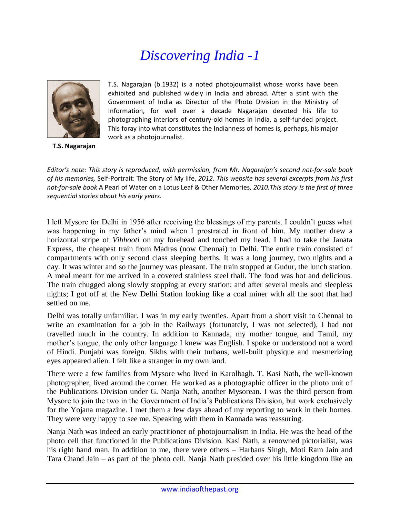# *Discovering India -1*



**T.S. Nagarajan**

T.S. Nagarajan (b.1932) is a noted photojournalist whose works have been exhibited and published widely in India and abroad. After a stint with the Government of India as Director of the Photo Division in the Ministry of Information, for well over a decade Nagarajan devoted his life to photographing interiors of century-old homes in India, a self-funded project. This foray into what constitutes the Indianness of homes is, perhaps, his major work as a photojournalist.

*Editor's note: This story is reproduced, with permission, from Mr. Nagarajan's second not-for-sale book of his memories,* Self-Portrait: The Story of My life, *2012. This website has several excerpts from his first not-for-sale book* A Pearl of Water on a Lotus Leaf & Other Memories*, 2010.This story is the first of three sequential stories about his early years.*

I left Mysore for Delhi in 1956 after receiving the blessings of my parents. I couldn't guess what was happening in my father's mind when I prostrated in front of him. My mother drew a horizontal stripe of *Vibhooti* on my forehead and touched my head. I had to take the Janata Express, the cheapest train from Madras (now Chennai) to Delhi. The entire train consisted of compartments with only second class sleeping berths. It was a long journey, two nights and a day. It was winter and so the journey was pleasant. The train stopped at Gudur, the lunch station. A meal meant for me arrived in a covered stainless steel thali. The food was hot and delicious. The train chugged along slowly stopping at every station; and after several meals and sleepless nights; I got off at the New Delhi Station looking like a coal miner with all the soot that had settled on me.

Delhi was totally unfamiliar. I was in my early twenties. Apart from a short visit to Chennai to write an examination for a job in the Railways (fortunately, I was not selected), I had not travelled much in the country. In addition to Kannada, my mother tongue, and Tamil, my mother's tongue, the only other language I knew was English. I spoke or understood not a word of Hindi. Punjabi was foreign. Sikhs with their turbans, well-built physique and mesmerizing eyes appeared alien. I felt like a stranger in my own land.

There were a few families from Mysore who lived in Karolbagh. T. Kasi Nath, the well-known photographer, lived around the corner. He worked as a photographic officer in the photo unit of the Publications Division under G. Nanja Nath, another Mysorean. I was the third person from Mysore to join the two in the Government of India's Publications Division, but work exclusively for the Yojana magazine. I met them a few days ahead of my reporting to work in their homes. They were very happy to see me. Speaking with them in Kannada was reassuring.

Nanja Nath was indeed an early practitioner of photojournalism in India. He was the head of the photo cell that functioned in the Publications Division. Kasi Nath, a renowned pictorialist, was his right hand man. In addition to me, there were others – Harbans Singh, Moti Ram Jain and Tara Chand Jain – as part of the photo cell. Nanja Nath presided over his little kingdom like an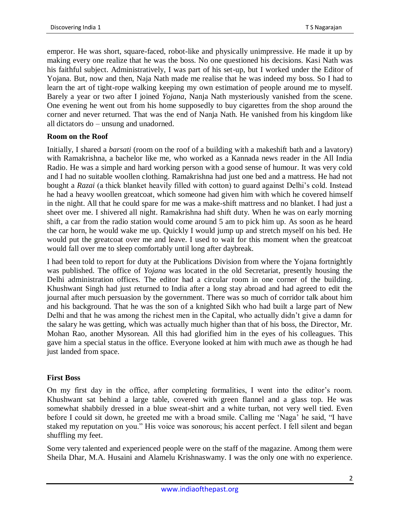emperor. He was short, square-faced, robot-like and physically unimpressive. He made it up by making every one realize that he was the boss. No one questioned his decisions. Kasi Nath was his faithful subject. Administratively, I was part of his set-up, but I worked under the Editor of Yojana. But, now and then, Naja Nath made me realise that he was indeed my boss. So I had to learn the art of tight-rope walking keeping my own estimation of people around me to myself. Barely a year or two after I joined *Yojana*, Nanja Nath mysteriously vanished from the scene. One evening he went out from his home supposedly to buy cigarettes from the shop around the corner and never returned. That was the end of Nanja Nath. He vanished from his kingdom like all dictators do – unsung and unadorned.

## **Room on the Roof**

Initially, I shared a *barsati* (room on the roof of a building with a makeshift bath and a lavatory) with Ramakrishna, a bachelor like me, who worked as a Kannada news reader in the All India Radio. He was a simple and hard working person with a good sense of humour. It was very cold and I had no suitable woollen clothing. Ramakrishna had just one bed and a mattress. He had not bought a *Razai* (a thick blanket heavily filled with cotton) to guard against Delhi's cold. Instead he had a heavy woollen greatcoat, which someone had given him with which he covered himself in the night. All that he could spare for me was a make-shift mattress and no blanket. I had just a sheet over me. I shivered all night. Ramakrishna had shift duty. When he was on early morning shift, a car from the radio station would come around 5 am to pick him up. As soon as he heard the car horn, he would wake me up. Quickly I would jump up and stretch myself on his bed. He would put the greatcoat over me and leave. I used to wait for this moment when the greatcoat would fall over me to sleep comfortably until long after daybreak.

I had been told to report for duty at the Publications Division from where the Yojana fortnightly was published. The office of *Yojana* was located in the old Secretariat, presently housing the Delhi administration offices. The editor had a circular room in one corner of the building. Khushwant Singh had just returned to India after a long stay abroad and had agreed to edit the journal after much persuasion by the government. There was so much of corridor talk about him and his background. That he was the son of a knighted Sikh who had built a large part of New Delhi and that he was among the richest men in the Capital, who actually didn't give a damn for the salary he was getting, which was actually much higher than that of his boss, the Director, Mr. Mohan Rao, another Mysorean. All this had glorified him in the eyes of his colleagues. This gave him a special status in the office. Everyone looked at him with much awe as though he had just landed from space.

## **First Boss**

On my first day in the office, after completing formalities, I went into the editor's room. Khushwant sat behind a large table, covered with green flannel and a glass top. He was somewhat shabbily dressed in a blue sweat-shirt and a white turban, not very well tied. Even before I could sit down, he greeted me with a broad smile. Calling me 'Naga' he said, "I have staked my reputation on you." His voice was sonorous; his accent perfect. I fell silent and began shuffling my feet.

Some very talented and experienced people were on the staff of the magazine. Among them were Sheila Dhar, M.A. Husaini and Alamelu Krishnaswamy. I was the only one with no experience.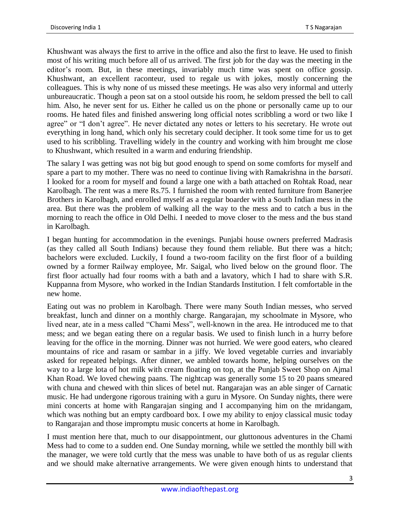Khushwant was always the first to arrive in the office and also the first to leave. He used to finish most of his writing much before all of us arrived. The first job for the day was the meeting in the editor's room. But, in these meetings, invariably much time was spent on office gossip. Khushwant, an excellent raconteur, used to regale us with jokes, mostly concerning the colleagues. This is why none of us missed these meetings. He was also very informal and utterly unbureaucratic. Though a peon sat on a stool outside his room, he seldom pressed the bell to call him. Also, he never sent for us. Either he called us on the phone or personally came up to our rooms. He hated files and finished answering long official notes scribbling a word or two like I agree" or "I don't agree". He never dictated any notes or letters to his secretary. He wrote out everything in long hand, which only his secretary could decipher. It took some time for us to get used to his scribbling. Travelling widely in the country and working with him brought me close to Khushwant, which resulted in a warm and enduring friendship.

The salary I was getting was not big but good enough to spend on some comforts for myself and spare a part to my mother. There was no need to continue living with Ramakrishna in the *barsati*. I looked for a room for myself and found a large one with a bath attached on Rohtak Road, near Karolbagh. The rent was a mere Rs.75. I furnished the room with rented furniture from Banerjee Brothers in Karolbagh, and enrolled myself as a regular boarder with a South Indian mess in the area. But there was the problem of walking all the way to the mess and to catch a bus in the morning to reach the office in Old Delhi. I needed to move closer to the mess and the bus stand in Karolbagh.

I began hunting for accommodation in the evenings. Punjabi house owners preferred Madrasis (as they called all South Indians) because they found them reliable. But there was a hitch; bachelors were excluded. Luckily, I found a two-room facility on the first floor of a building owned by a former Railway employee, Mr. Saigal, who lived below on the ground floor. The first floor actually had four rooms with a bath and a lavatory, which I had to share with S.R. Kuppanna from Mysore, who worked in the Indian Standards Institution. I felt comfortable in the new home.

Eating out was no problem in Karolbagh. There were many South Indian messes, who served breakfast, lunch and dinner on a monthly charge. Rangarajan, my schoolmate in Mysore, who lived near, ate in a mess called "Chami Mess", well-known in the area. He introduced me to that mess; and we began eating there on a regular basis. We used to finish lunch in a hurry before leaving for the office in the morning. Dinner was not hurried. We were good eaters, who cleared mountains of rice and rasam or sambar in a jiffy. We loved vegetable curries and invariably asked for repeated helpings. After dinner, we ambled towards home, helping ourselves on the way to a large lota of hot milk with cream floating on top, at the Punjab Sweet Shop on Ajmal Khan Road. We loved chewing paans. The nightcap was generally some 15 to 20 paans smeared with chuna and chewed with thin slices of betel nut. Rangarajan was an able singer of Carnatic music. He had undergone rigorous training with a guru in Mysore. On Sunday nights, there were mini concerts at home with Rangarajan singing and I accompanying him on the mridangam, which was nothing but an empty cardboard box. I owe my ability to enjoy classical music today to Rangarajan and those impromptu music concerts at home in Karolbagh.

I must mention here that, much to our disappointment, our gluttonous adventures in the Chami Mess had to come to a sudden end. One Sunday morning, while we settled the monthly bill with the manager, we were told curtly that the mess was unable to have both of us as regular clients and we should make alternative arrangements. We were given enough hints to understand that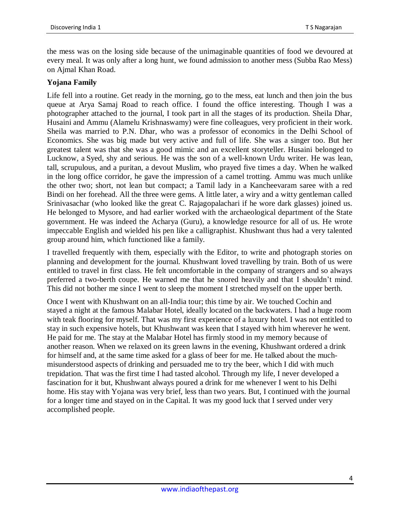the mess was on the losing side because of the unimaginable quantities of food we devoured at every meal. It was only after a long hunt, we found admission to another mess (Subba Rao Mess) on Ajmal Khan Road.

#### **Yojana Family**

Life fell into a routine. Get ready in the morning, go to the mess, eat lunch and then join the bus queue at Arya Samaj Road to reach office. I found the office interesting. Though I was a photographer attached to the journal, I took part in all the stages of its production. Sheila Dhar, Husaini and Ammu (Alamelu Krishnaswamy) were fine colleagues, very proficient in their work. Sheila was married to P.N. Dhar, who was a professor of economics in the Delhi School of Economics. She was big made but very active and full of life. She was a singer too. But her greatest talent was that she was a good mimic and an excellent storyteller. Husaini belonged to Lucknow, a Syed, shy and serious. He was the son of a well-known Urdu writer. He was lean, tall, scrupulous, and a puritan, a devout Muslim, who prayed five times a day. When he walked in the long office corridor, he gave the impression of a camel trotting. Ammu was much unlike the other two; short, not lean but compact; a Tamil lady in a Kancheevaram saree with a red Bindi on her forehead. All the three were gems. A little later, a wiry and a witty gentleman called Srinivasachar (who looked like the great C. Rajagopalachari if he wore dark glasses) joined us. He belonged to Mysore, and had earlier worked with the archaeological department of the State government. He was indeed the Acharya (Guru), a knowledge resource for all of us. He wrote impeccable English and wielded his pen like a calligraphist. Khushwant thus had a very talented group around him, which functioned like a family.

I travelled frequently with them, especially with the Editor, to write and photograph stories on planning and development for the journal. Khushwant loved travelling by train. Both of us were entitled to travel in first class. He felt uncomfortable in the company of strangers and so always preferred a two-berth coupe. He warned me that he snored heavily and that I shouldn't mind. This did not bother me since I went to sleep the moment I stretched myself on the upper berth.

Once I went with Khushwant on an all-India tour; this time by air. We touched Cochin and stayed a night at the famous Malabar Hotel, ideally located on the backwaters. I had a huge room with teak flooring for myself. That was my first experience of a luxury hotel. I was not entitled to stay in such expensive hotels, but Khushwant was keen that I stayed with him wherever he went. He paid for me. The stay at the Malabar Hotel has firmly stood in my memory because of another reason. When we relaxed on its green lawns in the evening, Khushwant ordered a drink for himself and, at the same time asked for a glass of beer for me. He talked about the muchmisunderstood aspects of drinking and persuaded me to try the beer, which I did with much trepidation. That was the first time I had tasted alcohol. Through my life, I never developed a fascination for it but, Khushwant always poured a drink for me whenever I went to his Delhi home. His stay with Yojana was very brief, less than two years. But, I continued with the journal for a longer time and stayed on in the Capital. It was my good luck that I served under very accomplished people.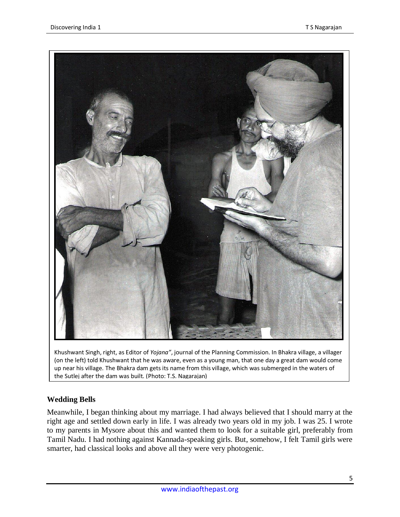

Khushwant Singh, right, as Editor of *Yojana"*, journal of the Planning Commission. In Bhakra village, a villager (on the left) told Khushwant that he was aware, even as a young man, that one day a great dam would come up near his village. The Bhakra dam gets its name from this village, which was submerged in the waters of the Sutlej after the dam was built. (Photo: T.S. Nagarajan)

# **Wedding Bells**

Meanwhile, I began thinking about my marriage. I had always believed that I should marry at the right age and settled down early in life. I was already two years old in my job. I was 25. I wrote to my parents in Mysore about this and wanted them to look for a suitable girl, preferably from Tamil Nadu. I had nothing against Kannada-speaking girls. But, somehow, I felt Tamil girls were smarter, had classical looks and above all they were very photogenic.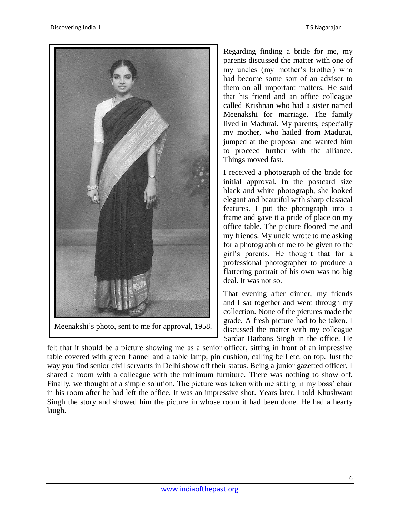

Meenakshi's photo, sent to me for approval, 1958.

Regarding finding a bride for me, my parents discussed the matter with one of my uncles (my mother's brother) who had become some sort of an adviser to them on all important matters. He said that his friend and an office colleague called Krishnan who had a sister named Meenakshi for marriage. The family lived in Madurai. My parents, especially my mother, who hailed from Madurai, jumped at the proposal and wanted him to proceed further with the alliance. Things moved fast.

I received a photograph of the bride for initial approval. In the postcard size black and white photograph, she looked elegant and beautiful with sharp classical features. I put the photograph into a frame and gave it a pride of place on my office table. The picture floored me and my friends. My uncle wrote to me asking for a photograph of me to be given to the girl's parents. He thought that for a professional photographer to produce a flattering portrait of his own was no big deal. It was not so.

That evening after dinner, my friends and I sat together and went through my collection. None of the pictures made the grade. A fresh picture had to be taken. I discussed the matter with my colleague Sardar Harbans Singh in the office. He

felt that it should be a picture showing me as a senior officer, sitting in front of an impressive table covered with green flannel and a table lamp, pin cushion, calling bell etc. on top. Just the way you find senior civil servants in Delhi show off their status. Being a junior gazetted officer, I shared a room with a colleague with the minimum furniture. There was nothing to show off. Finally, we thought of a simple solution. The picture was taken with me sitting in my boss' chair in his room after he had left the office. It was an impressive shot. Years later, I told Khushwant Singh the story and showed him the picture in whose room it had been done. He had a hearty laugh.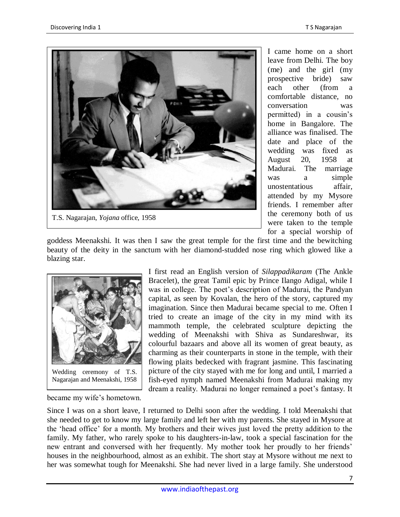

I came home on a short leave from Delhi. The boy (me) and the girl (my prospective bride) saw each other (from a comfortable distance, no conversation was permitted) in a cousin's home in Bangalore. The alliance was finalised. The date and place of the wedding was fixed as August 20, 1958 at Madurai. The marriage was a simple unostentatious affair, attended by my Mysore friends. I remember after the ceremony both of us were taken to the temple for a special worship of

goddess Meenakshi. It was then I saw the great temple for the first time and the bewitching beauty of the deity in the sanctum with her diamond-studded nose ring which glowed like a blazing star.



became my wife's hometown.

I first read an English version of *Silappadikaram* (The Ankle Bracelet), the great Tamil epic by Prince Ilango Adigal, while I was in college. The poet's description of Madurai, the Pandyan capital, as seen by Kovalan, the hero of the story, captured my imagination. Since then Madurai became special to me. Often I tried to create an image of the city in my mind with its mammoth temple, the celebrated sculpture depicting the wedding of Meenakshi with Shiva as Sundareshwar, its colourful bazaars and above all its women of great beauty, as charming as their counterparts in stone in the temple, with their flowing plaits bedecked with fragrant jasmine. This fascinating picture of the city stayed with me for long and until, I married a fish-eyed nymph named Meenakshi from Madurai making my dream a reality. Madurai no longer remained a poet's fantasy. It

Since I was on a short leave, I returned to Delhi soon after the wedding. I told Meenakshi that she needed to get to know my large family and left her with my parents. She stayed in Mysore at the 'head office' for a month. My brothers and their wives just loved the pretty addition to the family. My father, who rarely spoke to his daughters-in-law, took a special fascination for the new entrant and conversed with her frequently. My mother took her proudly to her friends' houses in the neighbourhood, almost as an exhibit. The short stay at Mysore without me next to her was somewhat tough for Meenakshi. She had never lived in a large family. She understood